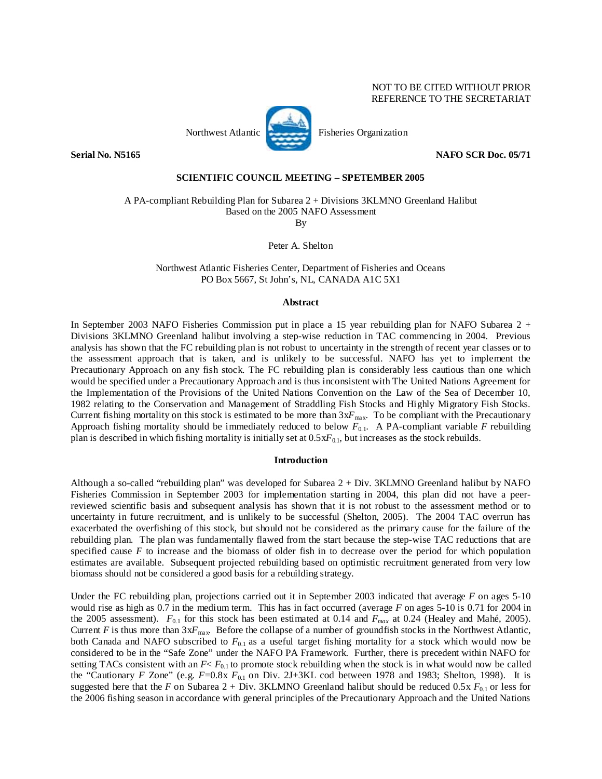## NOT TO BE CITED WITHOUT PRIOR REFERENCE TO THE SECRETARIAT

**Serial No. N5165** NAFO SCR Doc. 05/71

## **SCIENTIFIC COUNCIL MEETING – SPETEMBER 2005**

A PA-compliant Rebuilding Plan for Subarea 2 + Divisions 3KLMNO Greenland Halibut Based on the 2005 NAFO Assessment

By

Peter A. Shelton

Northwest Atlantic Fisheries Center, Department of Fisheries and Oceans PO Box 5667, St John's, NL, CANADA A1C 5X1

## **Abstract**

In September 2003 NAFO Fisheries Commission put in place a 15 year rebuilding plan for NAFO Subarea 2 + Divisions 3KLMNO Greenland halibut involving a step-wise reduction in TAC commencing in 2004. Previous analysis has shown that the FC rebuilding plan is not robust to uncertainty in the strength of recent year classes or to the assessment approach that is taken, and is unlikely to be successful. NAFO has yet to implement the Precautionary Approach on any fish stock. The FC rebuilding plan is considerably less cautious than one which would be specified under a Precautionary Approach and is thus inconsistent with The United Nations Agreement for the Implementation of the Provisions of the United Nations Convention on the Law of the Sea of December 10, 1982 relating to the Conservation and Management of Straddling Fish Stocks and Highly Migratory Fish Stocks. Current fishing mortality on this stock is estimated to be more than  $3xF_{\text{max}}$ . To be compliant with the Precautionary Approach fishing mortality should be immediately reduced to below  $F_{0.1}$ . A PA-compliant variable  $F$  rebuilding plan is described in which fishing mortality is initially set at 0.5x*F*0.1, but increases as the stock rebuilds.

## **Introduction**

Although a so-called "rebuilding plan" was developed for Subarea 2 + Div. 3KLMNO Greenland halibut by NAFO Fisheries Commission in September 2003 for implementation starting in 2004, this plan did not have a peerreviewed scientific basis and subsequent analysis has shown that it is not robust to the assessment method or to uncertainty in future recruitment, and is unlikely to be successful (Shelton, 2005). The 2004 TAC overrun has exacerbated the overfishing of this stock, but should not be considered as the primary cause for the failure of the rebuilding plan. The plan was fundamentally flawed from the start because the step-wise TAC reductions that are specified cause *F* to increase and the biomass of older fish in to decrease over the period for which population estimates are available. Subsequent projected rebuilding based on optimistic recruitment generated from very low biomass should not be considered a good basis for a rebuilding strategy.

Under the FC rebuilding plan, projections carried out it in September 2003 indicated that average *F* on ages 5-10 would rise as high as 0.7 in the medium term. This has in fact occurred (average *F* on ages 5-10 is 0.71 for 2004 in the 2005 assessment). *F*0.1 for this stock has been estimated at 0.14 and *Fmax* at 0.24 (Healey and Mahé, 2005). Current *F* is thus more than  $3xF_{\text{max}}$ . Before the collapse of a number of groundfish stocks in the Northwest Atlantic, both Canada and NAFO subscribed to *F*0.1 as a useful target fishing mortality for a stock which would now be considered to be in the "Safe Zone" under the NAFO PA Framework. Further, there is precedent within NAFO for setting TACs consistent with an  $F < F_{0,1}$  to promote stock rebuilding when the stock is in what would now be called the "Cautionary *F* Zone" (e.g. *F*=0.8x  $F_{0.1}$  on Div. 2J+3KL cod between 1978 and 1983; Shelton, 1998). It is suggested here that the *F* on Subarea 2 + Div. 3KLMNO Greenland halibut should be reduced 0.5x  $F_{0.1}$  or less for the 2006 fishing season in accordance with general principles of the Precautionary Approach and the United Nations



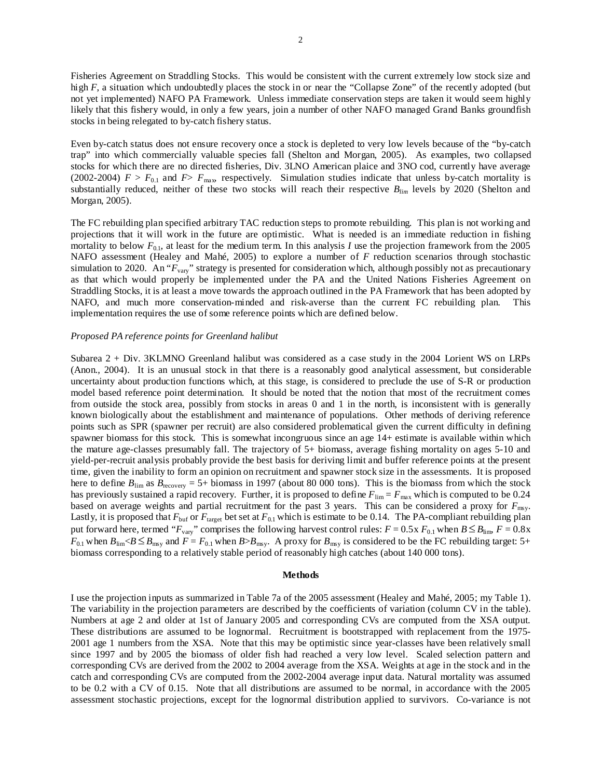Fisheries Agreement on Straddling Stocks. This would be consistent with the current extremely low stock size and high *F*, a situation which undoubtedly places the stock in or near the "Collapse Zone" of the recently adopted (but not yet implemented) NAFO PA Framework. Unless immediate conservation steps are taken it would seem highly likely that this fishery would, in only a few years, join a number of other NAFO managed Grand Banks groundfish stocks in being relegated to by-catch fishery status.

Even by-catch status does not ensure recovery once a stock is depleted to very low levels because of the "by-catch trap" into which commercially valuable species fall (Shelton and Morgan, 2005). As examples, two collapsed stocks for which there are no directed fisheries, Div. 3LNO American plaice and 3NO cod, currently have average (2002-2004)  $F > F_{0.1}$  and  $F > F_{\text{max}}$ , respectively. Simulation studies indicate that unless by-catch mortality is substantially reduced, neither of these two stocks will reach their respective *Blim* levels by 2020 (Shelton and Morgan, 2005).

The FC rebuilding plan specified arbitrary TAC reduction steps to promote rebuilding. This plan is not working and projections that it will work in the future are optimistic. What is needed is an immediate reduction in fishing mortality to below  $F_{0,1}$ , at least for the medium term. In this analysis *I* use the projection framework from the 2005 NAFO assessment (Healey and Mahé, 2005) to explore a number of *F* reduction scenarios through stochastic simulation to 2020. An "*F*vary" strategy is presented for consideration which, although possibly not as precautionary as that which would properly be implemented under the PA and the United Nations Fisheries Agreement on Straddling Stocks, it is at least a move towards the approach outlined in the PA Framework that has been adopted by NAFO, and much more conservation-minded and risk-averse than the current FC rebuilding plan. This implementation requires the use of some reference points which are defined below.

### *Proposed PA reference points for Greenland halibut*

Subarea 2 + Div. 3KLMNO Greenland halibut was considered as a case study in the 2004 Lorient WS on LRPs (Anon., 2004). It is an unusual stock in that there is a reasonably good analytical assessment, but considerable uncertainty about production functions which, at this stage, is considered to preclude the use of S-R or production model based reference point determination. It should be noted that the notion that most of the recruitment comes from outside the stock area, possibly from stocks in areas 0 and 1 in the north, is inconsistent with is generally known biologically about the establishment and maintenance of populations. Other methods of deriving reference points such as SPR (spawner per recruit) are also considered problematical given the current difficulty in defining spawner biomass for this stock. This is somewhat incongruous since an age 14+ estimate is available within which the mature age-classes presumably fall. The trajectory of 5+ biomass, average fishing mortality on ages 5-10 and yield-per-recruit analysis probably provide the best basis for deriving limit and buffer reference points at the present time, given the inability to form an opinion on recruitment and spawner stock size in the assessments. It is proposed here to define  $B_{\text{lim}}$  as  $B_{\text{recovery}} = 5+$  biomass in 1997 (about 80 000 tons). This is the biomass from which the stock has previously sustained a rapid recovery. Further, it is proposed to define  $F_{\text{lim}} = F_{\text{max}}$  which is computed to be 0.24 based on average weights and partial recruitment for the past 3 years. This can be considered a proxy for  $F_{\text{msy}}$ . Lastly, it is proposed that  $F_{\text{buf}}$  or  $F_{\text{target}}$  bet set at  $F_{0.1}$  which is estimate to be 0.14. The PA-compliant rebuilding plan put forward here, termed " $F_{\text{var}y}$ " comprises the following harvest control rules:  $F = 0.5x F_{0.1}$  when  $B \le B_{\text{lim}}$ ,  $F = 0.8x$  $F_{0.1}$  when  $B_{\text{lim}} < B \le B_{\text{max}}$  and  $F = F_{0.1}$  when  $B > B_{\text{max}}$ . A proxy for  $B_{\text{max}}$  is considered to be the FC rebuilding target: 5+ biomass corresponding to a relatively stable period of reasonably high catches (about 140 000 tons).

#### **Methods**

I use the projection inputs as summarized in Table 7a of the 2005 assessment (Healey and Mahé, 2005; my Table 1). The variability in the projection parameters are described by the coefficients of variation (column CV in the table). Numbers at age 2 and older at 1st of January 2005 and corresponding CVs are computed from the XSA output. These distributions are assumed to be lognormal. Recruitment is bootstrapped with replacement from the 1975- 2001 age 1 numbers from the XSA. Note that this may be optimistic since year-classes have been relatively small since 1997 and by 2005 the biomass of older fish had reached a very low level. Scaled selection pattern and corresponding CVs are derived from the 2002 to 2004 average from the XSA. Weights at age in the stock and in the catch and corresponding CVs are computed from the 2002-2004 average input data. Natural mortality was assumed to be 0.2 with a CV of 0.15. Note that all distributions are assumed to be normal, in accordance with the 2005 assessment stochastic projections, except for the lognormal distribution applied to survivors. Co-variance is not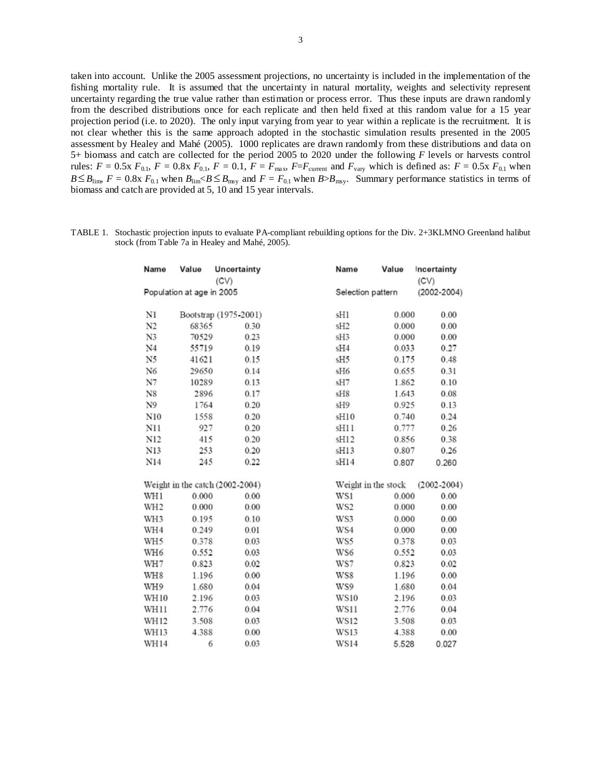taken into account. Unlike the 2005 assessment projections, no uncertainty is included in the implementation of the fishing mortality rule. It is assumed that the uncertainty in natural mortality, weights and selectivity represent uncertainty regarding the true value rather than estimation or process error. Thus these inputs are drawn randomly from the described distributions once for each replicate and then held fixed at this random value for a 15 year projection period (i.e. to 2020). The only input varying from year to year within a replicate is the recruitment. It is not clear whether this is the same approach adopted in the stochastic simulation results presented in the 2005 assessment by Healey and Mahé (2005). 1000 replicates are drawn randomly from these distributions and data on 5+ biomass and catch are collected for the period 2005 to 2020 under the following *F* levels or harvests control rules:  $F = 0.5x F_{0.1}$ ,  $F = 0.8x F_{0.1}$ ,  $F = 0.1$ ,  $F = F_{\text{max}}$ ,  $F = F_{\text{current}}$  and  $F_{\text{vary}}$  which is defined as:  $F = 0.5x F_{0.1}$  when  $B \leq B_{\text{lim}}$ ,  $F = 0.8x$ ,  $F_{0.1}$  when  $B_{\text{lim}} < B \leq B_{\text{max}}$  and  $F = F_{0.1}$  when  $B > B_{\text{max}}$ . Summary performance statistics in terms of biomass and catch are provided at 5, 10 and 15 year intervals.

| TABLE 1. Stochastic projection inputs to evaluate PA-compliant rebuilding options for the Div. 2+3KLMNO Greenland halibut |
|---------------------------------------------------------------------------------------------------------------------------|
| stock (from Table 7a in Healey and Mahé, 2005).                                                                           |

| Name            | Value                     | Uncertainty<br>(CV)             | Name            | Value               | Incertainty<br>(CV) |  |
|-----------------|---------------------------|---------------------------------|-----------------|---------------------|---------------------|--|
|                 | Population at age in 2005 |                                 |                 | Selection pattern   | $(2002 - 2004)$     |  |
| Nl              |                           | Bootstrap (1975-2001)           | sH1             | 0.000               | 0.00                |  |
| N2              | 68365                     | 0.30                            | sH <sub>2</sub> | 0.000               | 0.00                |  |
| N3              | 70529                     | 0.23                            | sH3             | 0.000               | 0.00                |  |
| N4              | 55719                     | 0.19                            | sH4             | 0.033               | 0.27                |  |
| N5              | 41621                     | 0.15                            | sH5             | 0.175               | 0.48                |  |
| N6              | 29650                     | 0.14                            | sH6             | 0.655               | 0.31                |  |
| N7              | 10289                     | 0.13                            | sH7             | 1.862               | 0.10                |  |
| N8              | 2896                      | 0.17                            | sH8             | 1.643               | 0.08                |  |
| N9              | 1764                      | 0.20                            | sH9             | 0.925               | 0.13                |  |
| N10             | 1558                      | 0.20                            | sH10            | 0.740               | 0.24                |  |
| N11             | 927                       | 0.20                            | sH11            | 0.777               | 0.26                |  |
| N12             | 415                       | 0.20                            | sH12            | 0.856               | 0.38                |  |
| N13             | 253                       | 0.20                            | sH13            | 0.807               | 0.26                |  |
| N14             | 245                       | 0.22                            | sH14            | 0.807               | 0.260               |  |
|                 |                           | Weight in the catch (2002-2004) |                 | Weight in the stock | $(2002 - 2004)$     |  |
| WH1             | 0.000                     | 0.00                            | WS1             | 0.000               | 0.00                |  |
| WH <sub>2</sub> | 0.000                     | 0.00                            | WS2             | 0.000               | 0.00                |  |
| WH3             | 0.195                     | 0.10                            | WS3             | 0.000               | 0.00                |  |
| WH4             | 0.249                     | 0.01                            | WS4             | 0.000               | 0.00                |  |
| WH5             | 0.378                     | 0.03                            | WS5             | 0.378               | 0.03                |  |
| WH6             | 0.552                     | 0.03                            | WS6             | 0.552               | 0.03                |  |
| WH7             | 0.823                     | 0.02                            | WS7             | 0.823               | 0.02                |  |
| WH8             | 1.196                     | 0.00                            | WS8             | 1.196               | 0.00                |  |
| WH9             | 1.680                     | 0.04                            | WS9             | 1.680               | 0.04                |  |
| WH10            | 2.196                     | 0.03                            | <b>WS10</b>     | 2.196               | 0.03                |  |
| WH11            | 2.776                     | 0.04                            | WS11            | 2.776               | 0.04                |  |
| WH12            | 3.508                     | 0.03                            | <b>WS12</b>     | 3.508               | 0.03                |  |
| WH 13           | 4.388                     | 0.00                            | <b>WS13</b>     | 4.388               | 0.00                |  |
| WH14            | 6                         | 0.03                            | <b>WS14</b>     | 5.528               | 0.027               |  |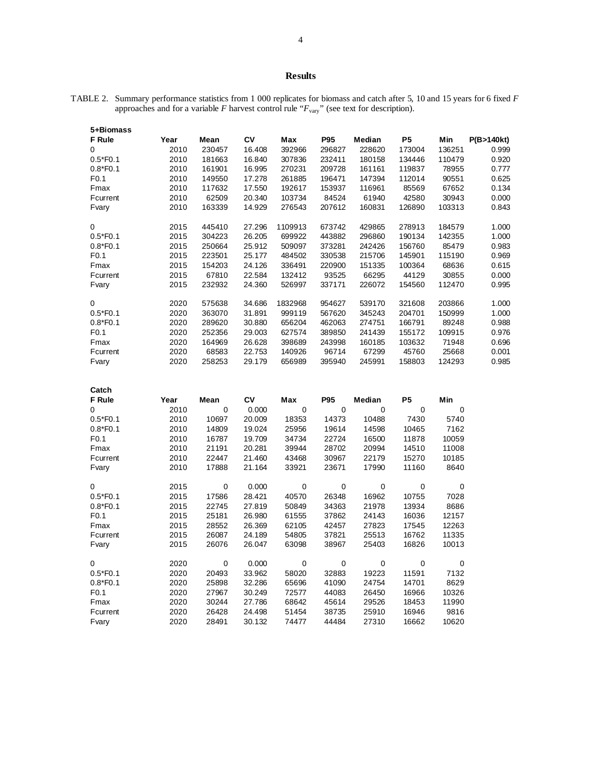# **Results**

TABLE 2. Summary performance statistics from 1 000 replicates for biomass and catch after 5, 10 and 15 years for 6 fixed *F* approaches and for a variable  $F$  harvest control rule " $F_{\text{vary}}$ " (see text for description).

| 5+Biomass        |      |             |           |         |             |             |           |        |            |
|------------------|------|-------------|-----------|---------|-------------|-------------|-----------|--------|------------|
| <b>F</b> Rule    | Year | Mean        | <b>CV</b> | Max     | <b>P95</b>  | Median      | <b>P5</b> | Min    | P(B>140kt) |
| 0                | 2010 | 230457      | 16.408    | 392966  | 296827      | 228620      | 173004    | 136251 | 0.999      |
| $0.5*F0.1$       | 2010 | 181663      | 16.840    | 307836  | 232411      | 180158      | 134446    | 110479 | 0.920      |
| $0.8*F0.1$       | 2010 | 161901      | 16.995    | 270231  | 209728      | 161161      | 119837    | 78955  | 0.777      |
| F <sub>0.1</sub> | 2010 | 149550      | 17.278    | 261885  | 196471      | 147394      | 112014    | 90551  | 0.625      |
| Fmax             | 2010 | 117632      | 17.550    | 192617  | 153937      | 116961      | 85569     | 67652  | 0.134      |
| Fcurrent         | 2010 | 62509       | 20.340    | 103734  | 84524       | 61940       | 42580     | 30943  | 0.000      |
| Fvary            | 2010 | 163339      | 14.929    | 276543  | 207612      | 160831      | 126890    | 103313 | 0.843      |
| 0                | 2015 | 445410      | 27.296    | 1109913 | 673742      | 429865      | 278913    | 184579 | 1.000      |
| $0.5*F0.1$       | 2015 | 304223      | 26.205    | 699922  | 443882      | 296860      | 190134    | 142355 | 1.000      |
| $0.8*F0.1$       | 2015 | 250664      | 25.912    | 509097  | 373281      | 242426      | 156760    | 85479  | 0.983      |
| F <sub>0.1</sub> | 2015 | 223501      | 25.177    | 484502  | 330538      | 215706      | 145901    | 115190 | 0.969      |
| Fmax             | 2015 | 154203      | 24.126    | 336491  | 220900      | 151335      | 100364    | 68636  | 0.615      |
| Fcurrent         | 2015 | 67810       | 22.584    | 132412  | 93525       | 66295       | 44129     | 30855  | 0.000      |
| Fvary            | 2015 | 232932      | 24.360    | 526997  | 337171      | 226072      | 154560    | 112470 | 0.995      |
| 0                | 2020 | 575638      | 34.686    | 1832968 | 954627      | 539170      | 321608    | 203866 | 1.000      |
| $0.5*F0.1$       | 2020 | 363070      | 31.891    | 999119  | 567620      | 345243      | 204701    | 150999 | 1.000      |
| $0.8*F0.1$       | 2020 | 289620      | 30.880    | 656204  | 462063      | 274751      | 166791    | 89248  | 0.988      |
| F <sub>0.1</sub> | 2020 | 252356      | 29.003    | 627574  | 389850      | 241439      | 155172    | 109915 | 0.976      |
| Fmax             | 2020 | 164969      | 26.628    | 398689  | 243998      | 160185      | 103632    | 71948  | 0.696      |
| Fcurrent         | 2020 | 68583       | 22.753    | 140926  | 96714       | 67299       | 45760     | 25668  | 0.001      |
| Fvary            | 2020 | 258253      | 29.179    | 656989  | 395940      | 245991      | 158803    | 124293 | 0.985      |
| Catch            |      |             |           |         |             |             |           |        |            |
| <b>F</b> Rule    | Year | Mean        | <b>CV</b> | Max     | <b>P95</b>  | Median      | <b>P5</b> | Min    |            |
| 0                | 2010 | $\mathbf 0$ | 0.000     | 0       | $\mathbf 0$ | $\mathbf 0$ | 0         | 0      |            |
| $0.5*F0.1$       | 2010 | 10697       | 20.009    | 18353   | 14373       | 10488       | 7430      | 5740   |            |
| $0.8*F0.1$       | 2010 | 14809       | 19.024    | 25956   | 19614       | 14598       | 10465     | 7162   |            |
| F <sub>0.1</sub> | 2010 | 16787       | 19.709    | 34734   | 22724       | 16500       | 11878     | 10059  |            |
| Fmax             | 2010 | 21191       | 20.281    | 39944   | 28702       | 20994       | 14510     | 11008  |            |
| Fcurrent         | 2010 | 22447       | 21.460    | 43468   | 30967       | 22179       | 15270     | 10185  |            |
| Fvary            | 2010 | 17888       | 21.164    | 33921   | 23671       | 17990       | 11160     | 8640   |            |

| U                | 20 I U | v           | <u>v.vvv</u> | υ           | v     | U           | v           | U           |  |
|------------------|--------|-------------|--------------|-------------|-------|-------------|-------------|-------------|--|
| $0.5*F0.1$       | 2010   | 10697       | 20.009       | 18353       | 14373 | 10488       | 7430        | 5740        |  |
| $0.8*F0.1$       | 2010   | 14809       | 19.024       | 25956       | 19614 | 14598       | 10465       | 7162        |  |
| F <sub>0.1</sub> | 2010   | 16787       | 19.709       | 34734       | 22724 | 16500       | 11878       | 10059       |  |
| Fmax             | 2010   | 21191       | 20.281       | 39944       | 28702 | 20994       | 14510       | 11008       |  |
| Fcurrent         | 2010   | 22447       | 21.460       | 43468       | 30967 | 22179       | 15270       | 10185       |  |
| Fvary            | 2010   | 17888       | 21.164       | 33921       | 23671 | 17990       | 11160       | 8640        |  |
| $\Omega$         | 2015   | 0           | 0.000        | $\mathbf 0$ | 0     | 0           | $\Omega$    | $\Omega$    |  |
| $0.5*F0.1$       | 2015   | 17586       | 28.421       | 40570       | 26348 | 16962       | 10755       | 7028        |  |
| $0.8*F0.1$       | 2015   | 22745       | 27.819       | 50849       | 34363 | 21978       | 13934       | 8686        |  |
| F <sub>0.1</sub> | 2015   | 25181       | 26.980       | 61555       | 37862 | 24143       | 16036       | 12157       |  |
| Fmax             | 2015   | 28552       | 26.369       | 62105       | 42457 | 27823       | 17545       | 12263       |  |
| Fcurrent         | 2015   | 26087       | 24.189       | 54805       | 37821 | 25513       | 16762       | 11335       |  |
| Fvary            | 2015   | 26076       | 26.047       | 63098       | 38967 | 25403       | 16826       | 10013       |  |
| 0                | 2020   | $\mathbf 0$ | 0.000        | $\mathbf 0$ | 0     | $\mathbf 0$ | $\mathbf 0$ | $\mathbf 0$ |  |
| $0.5*F0.1$       | 2020   | 20493       | 33.962       | 58020       | 32883 | 19223       | 11591       | 7132        |  |
| $0.8*F0.1$       | 2020   | 25898       | 32.286       | 65696       | 41090 | 24754       | 14701       | 8629        |  |
| F <sub>0.1</sub> | 2020   | 27967       | 30.249       | 72577       | 44083 | 26450       | 16966       | 10326       |  |
| Fmax             | 2020   | 30244       | 27.786       | 68642       | 45614 | 29526       | 18453       | 11990       |  |
| Fcurrent         | 2020   | 26428       | 24.498       | 51454       | 38735 | 25910       | 16946       | 9816        |  |
| Fvary            | 2020   | 28491       | 30.132       | 74477       | 44484 | 27310       | 16662       | 10620       |  |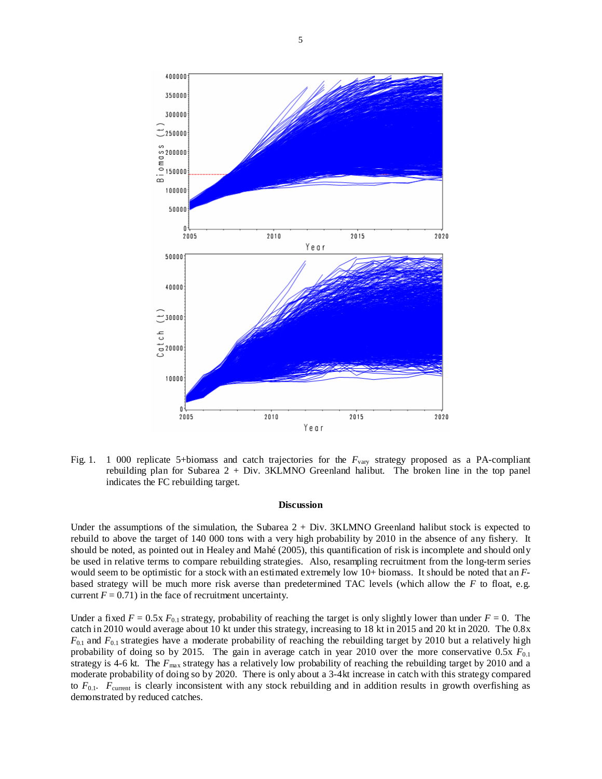

Fig. 1. 1 000 replicate 5+biomass and catch trajectories for the  $F_{\text{var}}$  strategy proposed as a PA-compliant rebuilding plan for Subarea 2 + Div. 3KLMNO Greenland halibut. The broken line in the top panel indicates the FC rebuilding target.

#### **Discussion**

Under the assumptions of the simulation, the Subarea  $2 + Div.$  3KLMNO Greenland halibut stock is expected to rebuild to above the target of 140 000 tons with a very high probability by 2010 in the absence of any fishery. It should be noted, as pointed out in Healey and Mahé (2005), this quantification of risk is incomplete and should only be used in relative terms to compare rebuilding strategies. Also, resampling recruitment from the long-term series would seem to be optimistic for a stock with an estimated extremely low 10+ biomass. It should be noted that an *F*based strategy will be much more risk averse than predetermined TAC levels (which allow the *F* to float, e.g. current  $F = 0.71$ ) in the face of recruitment uncertainty.

Under a fixed  $F = 0.5x F_{0.1}$  strategy, probability of reaching the target is only slightly lower than under  $F = 0$ . The catch in 2010 would average about 10 kt under this strategy, increasing to 18 kt in 2015 and 20 kt in 2020. The 0.8x *F*0.1 and *F*0.1 strategies have a moderate probability of reaching the rebuilding target by 2010 but a relatively high probability of doing so by 2015. The gain in average catch in year 2010 over the more conservative 0.5x *F*0.1 strategy is 4-6 kt. The  $F_{\text{max}}$  strategy has a relatively low probability of reaching the rebuilding target by 2010 and a moderate probability of doing so by 2020. There is only about a 3-4kt increase in catch with this strategy compared to  $F_{0.1}$ .  $F_{\text{current}}$  is clearly inconsistent with any stock rebuilding and in addition results in growth overfishing as demonstrated by reduced catches.